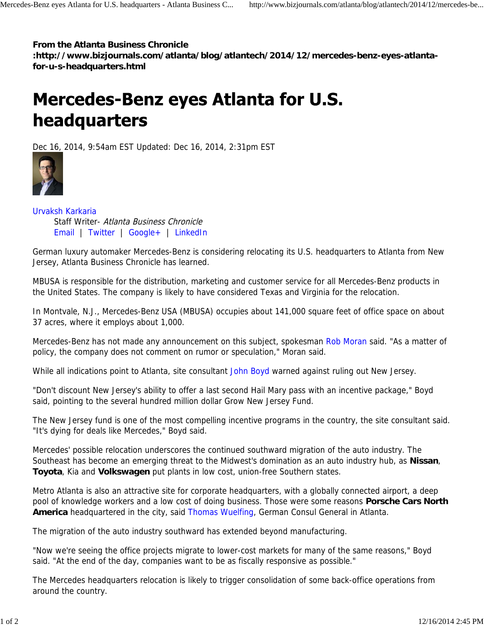## **From the Atlanta Business Chronicle**

**:http://www.bizjournals.com/atlanta/blog/atlantech/2014/12/mercedes-benz-eyes-atlantafor-u-s-headquarters.html**

## **Mercedes-Benz eyes Atlanta for U.S.** headquarters

Dec 16, 2014, 9:54am EST Updated: Dec 16, 2014, 2:31pm EST



Urvaksh Karkaria Staff Writer- Atlanta Business Chronicle Email | Twitter | Google+ | LinkedIn

German luxury automaker Mercedes-Benz is considering relocating its U.S. headquarters to Atlanta from New Jersey, Atlanta Business Chronicle has learned.

MBUSA is responsible for the distribution, marketing and customer service for all Mercedes-Benz products in the United States. The company is likely to have considered Texas and Virginia for the relocation.

In Montvale, N.J., Mercedes-Benz USA (MBUSA) occupies about 141,000 square feet of office space on about 37 acres, where it employs about 1,000.

Mercedes-Benz has not made any announcement on this subject, spokesman Rob Moran said. "As a matter of policy, the company does not comment on rumor or speculation," Moran said.

While all indications point to Atlanta, site consultant John Boyd warned against ruling out New Jersey.

"Don't discount New Jersey's ability to offer a last second Hail Mary pass with an incentive package," Boyd said, pointing to the several hundred million dollar Grow New Jersey Fund.

The New Jersey fund is one of the most compelling incentive programs in the country, the site consultant said. "It's dying for deals like Mercedes," Boyd said.

Mercedes' possible relocation underscores the continued southward migration of the auto industry. The Southeast has become an emerging threat to the Midwest's domination as an auto industry hub, as **Nissan**, **Toyota**, Kia and **Volkswagen** put plants in low cost, union-free Southern states.

Metro Atlanta is also an attractive site for corporate headquarters, with a globally connected airport, a deep pool of knowledge workers and a low cost of doing business. Those were some reasons **Porsche Cars North America** headquartered in the city, said Thomas Wuelfing, German Consul General in Atlanta.

The migration of the auto industry southward has extended beyond manufacturing.

"Now we're seeing the office projects migrate to lower-cost markets for many of the same reasons," Boyd said. "At the end of the day, companies want to be as fiscally responsive as possible."

The Mercedes headquarters relocation is likely to trigger consolidation of some back-office operations from around the country.